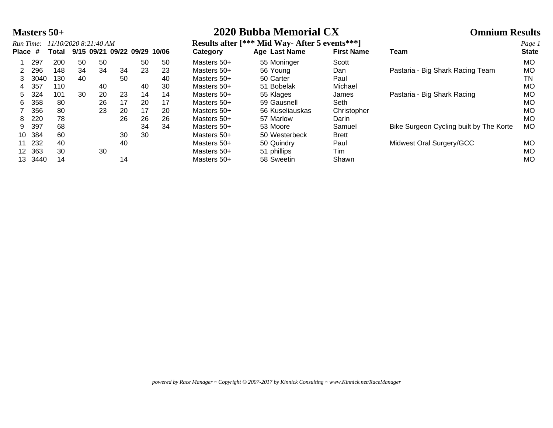| 2020 Bubba Memorial CX |
|------------------------|
|                        |

|           | Masters $50+$ |                       |    |    |    |    |                              |             | 2020 Bubba Memorial CX                          |                   | <b>Omnium Results</b>                   |              |  |
|-----------|---------------|-----------------------|----|----|----|----|------------------------------|-------------|-------------------------------------------------|-------------------|-----------------------------------------|--------------|--|
| Run Time: |               | 11/10/2020 8:21:40 AM |    |    |    |    |                              |             | Results after [*** Mid Way-After 5 events *** ] |                   | Page 1                                  |              |  |
| Place #   |               | Total                 |    |    |    |    | 9/15 09/21 09/22 09/29 10/06 | Category    | <b>Age Last Name</b>                            | <b>First Name</b> | Team                                    | <b>State</b> |  |
|           | 297           | 200                   | 50 | 50 |    | 50 | 50                           | Masters 50+ | 55 Moninger                                     | Scott             |                                         | МO           |  |
|           | 296           | 148                   | 34 | 34 | 34 | 23 | 23                           | Masters 50+ | 56 Young                                        | Dan               | Pastaria - Big Shark Racing Team        | МO           |  |
|           | 3040          | 130                   | 40 |    | 50 |    | 40                           | Masters 50+ | 50 Carter                                       | Paul              |                                         | TN           |  |
|           | 357           | 110                   |    | 40 |    | 40 | 30                           | Masters 50+ | 51 Bobelak                                      | Michael           |                                         | МO           |  |
| 5         | 324           | 101                   | 30 | 20 | 23 | 14 | 14                           | Masters 50+ | 55 Klages                                       | James             | Pastaria - Big Shark Racing             | МO           |  |
| 6         | 358           | 80                    |    | 26 | 17 | 20 | 17                           | Masters 50+ | 59 Gausnell                                     | Seth              |                                         | МO           |  |
|           | 356           | 80                    |    | 23 | 20 | 17 | 20                           | Masters 50+ | 56 Kuseliauskas                                 | Christopher       |                                         | МO           |  |
| 8         | 220           | 78                    |    |    | 26 | 26 | 26                           | Masters 50+ | 57 Marlow                                       | Darin             |                                         | МO           |  |
| 9         | 397           | 68                    |    |    |    | 34 | 34                           | Masters 50+ | 53 Moore                                        | Samuel            | Bike Surgeon Cycling built by The Korte | МO           |  |
| 10        | 384           | 60                    |    |    | 30 | 30 |                              | Masters 50+ | 50 Westerbeck                                   | <b>Brett</b>      |                                         |              |  |
| 11        | 232           | 40                    |    |    | 40 |    |                              | Masters 50+ | 50 Quindry                                      | Paul              | Midwest Oral Surgery/GCC                | <b>MO</b>    |  |
| 12        | 363           | 30                    |    | 30 |    |    |                              | Masters 50+ | 51 phillips                                     | Tim               |                                         | МO           |  |
| 13.       | 3440          | 14                    |    |    | 14 |    |                              | Masters 50+ | 58 Sweetin                                      | Shawn             |                                         | MO           |  |

|         | 11/10/2020 8:21:40 AM<br>Run Time: |       |    |    |    |                              | Results after [*** Mid Way-After 5 events *** ] |             |                 |                   |                                         |              |
|---------|------------------------------------|-------|----|----|----|------------------------------|-------------------------------------------------|-------------|-----------------|-------------------|-----------------------------------------|--------------|
| Place # |                                    | Total |    |    |    | 9/15 09/21 09/22 09/29 10/06 |                                                 | Category    | Age Last Name   | <b>First Name</b> | Team                                    | <b>State</b> |
|         | 297                                | 200   | 50 | 50 |    | 50                           | 50                                              | Masters 50+ | 55 Moninger     | Scott             |                                         | <b>MO</b>    |
|         | 296                                | 148   | 34 | 34 | 34 | 23                           | 23                                              | Masters 50+ | 56 Young        | Dan               | Pastaria - Big Shark Racing Team        | МO           |
| 3       | 3040                               | 130   | 40 |    | 50 |                              | 40                                              | Masters 50+ | 50 Carter       | Paul              |                                         | ΤN           |
| 4       | 357                                | 110   |    | 40 |    | 40                           | 30                                              | Masters 50+ | 51 Bobelak      | Michael           |                                         | МO           |
| 5.      | 324                                | 101   | 30 | 20 | 23 | 14                           | 14                                              | Masters 50+ | 55 Klages       | James             | Pastaria - Big Shark Racing             | МO           |
| 6.      | 358                                | 80    |    | 26 | 17 | 20                           | 17                                              | Masters 50+ | 59 Gausnell     | Seth              |                                         | МO           |
|         | 356                                | 80    |    | 23 | 20 | 17                           | 20                                              | Masters 50+ | 56 Kuseliauskas | Christopher       |                                         | МO           |
| 8.      | 220                                | 78    |    |    | 26 | 26                           | 26                                              | Masters 50+ | 57 Marlow       | Darin             |                                         | <b>MO</b>    |
| 9.      | 397                                | 68    |    |    |    | 34                           | 34                                              | Masters 50+ | 53 Moore        | Samuel            | Bike Surgeon Cycling built by The Korte | МO           |
| 10      | 384                                | 60    |    |    | 30 | 30                           |                                                 | Masters 50+ | 50 Westerbeck   | <b>Brett</b>      |                                         |              |
| 11      | 232                                | 40    |    |    | 40 |                              |                                                 | Masters 50+ | 50 Quindry      | Paul              | Midwest Oral Surgery/GCC                | МO           |
| 12.     | 363                                | 30    |    | 30 |    |                              |                                                 | Masters 50+ | 51 phillips     | Tim               |                                         | МO           |
| 13.     | 3440                               | 14    |    |    | 14 |                              |                                                 | Masters 50+ | 58 Sweetin      | Shawn             |                                         | МO           |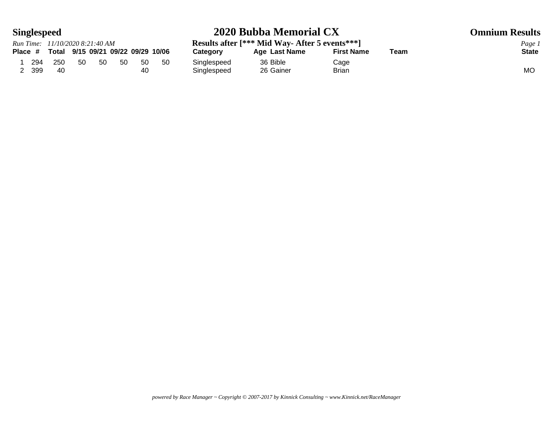## **Singlespeed 2020 Bubba Memorial CX Omnium Results**

|     |     | Run Time: 11/10/2020 8:21:40 AM            |    |     |     |     | Results after [*** Mid Way- After 5 events *** ] | Page          |                   |      |           |
|-----|-----|--------------------------------------------|----|-----|-----|-----|--------------------------------------------------|---------------|-------------------|------|-----------|
|     |     | Place # Total 9/15 09/21 09/22 09/29 10/06 |    |     |     |     | Category                                         | Age Last Name | <b>First Name</b> | Team | Stat      |
| 294 | 250 | 50                                         | 50 | -50 | -50 | -50 | Singlespeed                                      | 36 Bible      | Cage              |      |           |
| 399 | 40  |                                            |    |     | 40  |     | Singlespeed                                      | 26 Gainer     | <b>Brian</b>      |      | <b>MO</b> |

**Results after [\*\*\* Mid Way- After 5 events\*\*\*]**<br>Category **Age Last Name** First Name Team State State **Place # Total 9/15 09/21 09/22 09/29 10/06 Category Age Last Name First Name Team State** Singlespeed 36 Bible Cage<br>
Singlespeed 26 Gainer Brian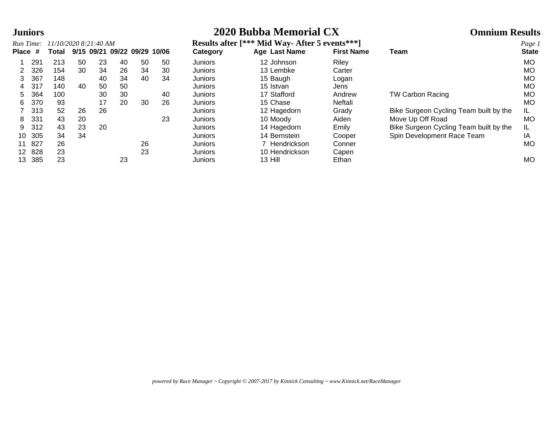## **Juniors 2020 Bubba Memorial CX Omnium Results**

| Run Time: |     | 11/10/2020 8:21:40 AM |    |    |                              |    |    |
|-----------|-----|-----------------------|----|----|------------------------------|----|----|
| Place #   |     | Total                 |    |    | 9/15 09/21 09/22 09/29 10/06 |    |    |
| 1         | 291 | 213                   | 50 | 23 | 40                           | 50 | 50 |
| 2         | 326 | 154                   | 30 | 34 | 26                           | 34 | 30 |
| 3         | 367 | 148                   |    | 40 | 34                           | 40 | 34 |
| 4         | 317 | 140                   | 40 | 50 | 50                           |    |    |
| 5         | 364 | 100                   |    | 30 | 30                           |    | 40 |
| 6         | 370 | 93                    |    | 17 | 20                           | 30 | 26 |
| 7         | 313 | 52                    | 26 | 26 |                              |    |    |
| 8         | 331 | 43                    | 20 |    |                              |    | 23 |
| 9         | 312 | 43                    | 23 | 20 |                              |    |    |
| 10        | 305 | 34                    | 34 |    |                              |    |    |
| 11        | 827 | 26                    |    |    |                              | 26 |    |
| 12        | 828 | 23                    |    |    |                              | 23 |    |
| 13        | 385 | 23                    |    |    | 23                           |    |    |

|                 | Run Time: | 11/10/2020 8:21:40 AM |    |    |                              |    |    |                | <b>Results after [*** Mid Way- After 5 events***]</b> |                   |                                        |              |  |  |  |
|-----------------|-----------|-----------------------|----|----|------------------------------|----|----|----------------|-------------------------------------------------------|-------------------|----------------------------------------|--------------|--|--|--|
| Place #         |           | Total                 |    |    | 9/15 09/21 09/22 09/29 10/06 |    |    | Category       | Age Last Name                                         | <b>First Name</b> | Team                                   | <b>State</b> |  |  |  |
|                 | 291       | 213                   | 50 | 23 | 40                           | 50 | 50 | Juniors        | 12 Johnson                                            | Riley             |                                        | <b>MO</b>    |  |  |  |
|                 | 326       | 154                   | 30 | 34 | 26                           | 34 | 30 | Juniors        | 13 Lembke                                             | Carter            |                                        | <b>MO</b>    |  |  |  |
| 3.              | 367       | 148                   |    | 40 | 34                           | 40 | 34 | Juniors        | 15 Baugh                                              | Logan             |                                        | <b>MO</b>    |  |  |  |
|                 | 317       | 140                   | 40 | 50 | 50                           |    |    | Juniors        | 15 Istvan                                             | Jens              |                                        | <b>MO</b>    |  |  |  |
| 5.              | 364       | 100                   |    | 30 | 30                           |    | 40 | Juniors        | 17 Stafford                                           | Andrew            | <b>TW Carbon Racing</b>                | <b>MO</b>    |  |  |  |
| 6.              | 370       | 93                    |    | 17 | 20                           | 30 | 26 | <b>Juniors</b> | 15 Chase                                              | Neftali           |                                        | <b>MO</b>    |  |  |  |
|                 | 313       | 52                    | 26 | 26 |                              |    |    | Juniors        | 12 Hagedorn                                           | Grady             | Bike Surgeon Cycling Team built by the | IL.          |  |  |  |
| 8               | 331       | 43                    | 20 |    |                              |    | 23 | Juniors        | 10 Moody                                              | Aiden             | Move Up Off Road                       | <b>MO</b>    |  |  |  |
| 9               | 312       | 43                    | 23 | 20 |                              |    |    | Juniors        | 14 Hagedorn                                           | Emily             | Bike Surgeon Cycling Team built by the | IL.          |  |  |  |
| 10              | 305       | 34                    | 34 |    |                              |    |    | <b>Juniors</b> | 14 Bernstein                                          | Cooper            | Spin Development Race Team             | ΙA           |  |  |  |
| 11              | 827       | 26                    |    |    |                              | 26 |    | Juniors        | 7 Hendrickson                                         | Conner            |                                        | <b>MO</b>    |  |  |  |
| 12 <sup>2</sup> | 828       | 23                    |    |    |                              | 23 |    | <b>Juniors</b> | 10 Hendrickson                                        | Capen             |                                        |              |  |  |  |
| 13              | 385       | 23                    |    |    | 23                           |    |    | Juniors        | 13 Hill                                               | Ethan             |                                        | <b>MO</b>    |  |  |  |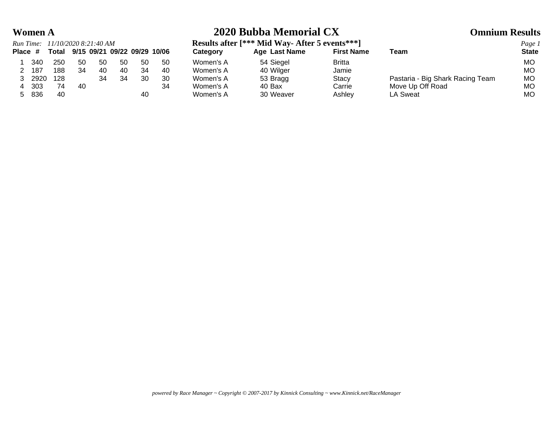## **Women A 2020 Bubba Memorial CX Omnium Results**

|    |       | Run Time: 11/10/2020 8:21:40 AM            |      |     |    |    |    |  |  |  |  |  |  |  |  |
|----|-------|--------------------------------------------|------|-----|----|----|----|--|--|--|--|--|--|--|--|
|    |       | Place # Total 9/15 09/21 09/22 09/29 10/06 |      |     |    |    |    |  |  |  |  |  |  |  |  |
|    |       | 1 340 250                                  | - 50 | 50. | 50 | 50 | 50 |  |  |  |  |  |  |  |  |
|    |       | 2 187 188                                  | - 34 | 40  | 40 | 34 | 40 |  |  |  |  |  |  |  |  |
|    |       | 3 2920 128                                 |      | 34  | 34 | 30 | 30 |  |  |  |  |  |  |  |  |
|    | 4 303 | - 74                                       | 40   |     |    |    | 34 |  |  |  |  |  |  |  |  |
| 5. | 836   | 40                                         |      |     |    |    |    |  |  |  |  |  |  |  |  |

**Results after [\*\*\* Mid Way- After 5 events\*\*\*]**<br>Category **Age Last Name** First Name Team **State** State

|        | Place # | Total |    |     |     |     | 9/15 09/21 09/22 09/29 10/06 | Category  | Age Last Name | <b>First Name</b> | Team                             | <b>State</b> |
|--------|---------|-------|----|-----|-----|-----|------------------------------|-----------|---------------|-------------------|----------------------------------|--------------|
|        | 340     | 250   | 50 | -50 | -50 | -50 | -50                          | Women's A | 54 Siegel     | <b>Britta</b>     |                                  | <b>MO</b>    |
|        | 187     | 188   | 34 | 40  | 40  | 34  | 40                           | Women's A | 40 Wilger     | Jamie             |                                  | <b>MO</b>    |
|        | 2920    | 128   |    | 34  | 34  | 30  | 30                           | Women's A | 53 Bragg      | <b>Stacy</b>      | Pastaria - Big Shark Racing Team | МO           |
|        | 303     | 74    | 40 |     |     |     | 34                           | Women's A | 40 Bax        | Carrie            | Move Up Off Road                 | МO           |
| $\sim$ | 836     | 40    |    |     |     | 40  |                              | Women's A | 30 Weaver     | Ashley            | LA Sweat                         | МO           |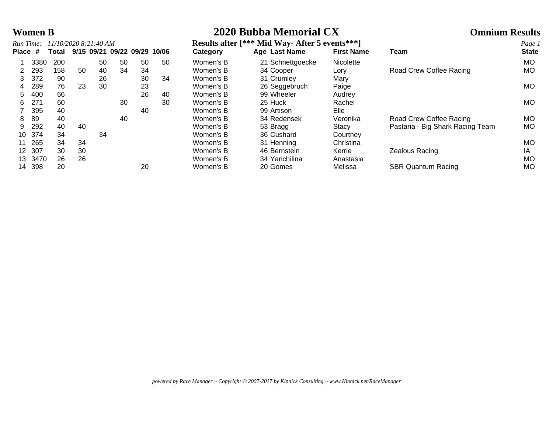# **Women B 2020 Bubba Memorial CX Omnium Results**

| Run Time: |      |              |    | 11/10/2020 8:21:40 AM |    |                              |    | Results after [*** Mid Way-After 5 events* |                      |              |  |  |
|-----------|------|--------------|----|-----------------------|----|------------------------------|----|--------------------------------------------|----------------------|--------------|--|--|
| Place #   |      | <b>Total</b> |    |                       |    | 9/15 09/21 09/22 09/29 10/06 |    | Category                                   | <b>Age Last Name</b> | <b>First</b> |  |  |
|           | 3380 | 200          |    | 50                    | 50 | 50                           | 50 | Women's B                                  | 21 Schnettgoecke     | Nicol        |  |  |
| 2         | 293  | 158          | 50 | 40                    | 34 | 34                           |    | Women's B                                  | 34 Cooper            | Lory         |  |  |
| 3         | 372  | 90           |    | 26                    |    | 30                           | 34 | Women's B                                  | 31 Crumley           | Mary         |  |  |
| 4         | 289  | 76           | 23 | 30                    |    | 23                           |    | Women's B                                  | 26 Seggebruch        | Paig         |  |  |
| 5         | 400  | 66           |    |                       |    | 26                           | 40 | Women's B                                  | 99 Wheeler           | Audr         |  |  |
| 6         | 271  | 60           |    |                       | 30 |                              | 30 | Women's B                                  | 25 Huck              | Rach         |  |  |
|           | 395  | 40           |    |                       |    | 40                           |    | Women's B                                  | 99 Artison           | Elle         |  |  |
| 8         | 89   | 40           |    |                       | 40 |                              |    | Women's B                                  | 34 Redensek          | Vero         |  |  |
| 9         | 292  | 40           | 40 |                       |    |                              |    | Women's B                                  | 53 Bragg             | Stac         |  |  |
| 10        | 374  | 34           |    | 34                    |    |                              |    | Women's B                                  | 36 Cushard           | Cour         |  |  |
| 11        | 265  | 34           | 34 |                       |    |                              |    | Women's B                                  | 31 Henning           | Chris        |  |  |
| 12        | 307  | 30           | 30 |                       |    |                              |    | Women's B                                  | 46 Bernstein         | Kerri        |  |  |
| 13        | 3470 | 26           | 26 |                       |    |                              |    | Women's B                                  | 34 Yanchilina        | Anas         |  |  |
| 11        | 308  | <u>ഗറ</u>    |    |                       |    | 20                           |    | Maman'e R                                  | 20 Comos             | <b>Molic</b> |  |  |

|         | Run Time: |       | 11/10/2020 8:21:40 AM        |    |    |    |    | Results after [*** Mid Way-After 5 events *** ] |                  |                   |                                  |              |  |
|---------|-----------|-------|------------------------------|----|----|----|----|-------------------------------------------------|------------------|-------------------|----------------------------------|--------------|--|
| Place # |           | Total | 9/15 09/21 09/22 09/29 10/06 |    |    |    |    | Category                                        | Age Last Name    | <b>First Name</b> | Team                             | <b>State</b> |  |
|         | 3380      | 200   |                              | 50 | 50 | 50 | 50 | Women's B                                       | 21 Schnettgoecke | Nicolette         |                                  | MO.          |  |
|         | 293       | 158   | 50                           | 40 | 34 | 34 |    | Women's B                                       | 34 Cooper        | Lorv              | Road Crew Coffee Racing          | MO.          |  |
| 3       | 372       | 90    |                              | 26 |    | 30 | 34 | Women's B                                       | 31 Crumley       | Mary              |                                  |              |  |
|         | 289       | 76    | 23                           | 30 |    | 23 |    | Women's B                                       | 26 Seggebruch    | Paige             |                                  | MO.          |  |
| 5.      | 400       | 66    |                              |    |    | 26 | 40 | Women's B                                       | 99 Wheeler       | Audrey            |                                  |              |  |
| 6.      | 271       | 60    |                              |    | 30 |    | 30 | Women's B                                       | 25 Huck          | Rachel            |                                  | <b>MO</b>    |  |
|         | 395       | 40    |                              |    |    | 40 |    | Women's B                                       | 99 Artison       | Elle              |                                  |              |  |
| 8.      | 89        | 40    |                              |    | 40 |    |    | Women's B                                       | 34 Redensek      | Veronika          | Road Crew Coffee Racing          | MO.          |  |
| 9       | 292       | 40    | 40                           |    |    |    |    | Women's B                                       | 53 Bragg         | Stacy             | Pastaria - Big Shark Racing Team | MO.          |  |
| 10      | 374       | 34    |                              | 34 |    |    |    | Women's B                                       | 36 Cushard       | Courtney          |                                  |              |  |
|         | 265       | 34    | 34                           |    |    |    |    | Women's B                                       | 31 Henning       | Christina         |                                  | MO           |  |
| 12.     | 307       | 30    | 30                           |    |    |    |    | Women's B                                       | 46 Bernstein     | Kerrie            | Zealous Racing                   | IA           |  |
| 13.     | 3470      | 26    | 26                           |    |    |    |    | Women's B                                       | 34 Yanchilina    | Anastasia         |                                  | <b>MO</b>    |  |
| 14      | 398       | 20    |                              |    |    | 20 |    | Women's B                                       | 20 Gomes         | Melissa           | <b>SBR Quantum Racing</b>        | MO           |  |

*powered by Race Manager ~ Copyright © 2007-2017 by Kinnick Consulting ~ www.Kinnick.net/RaceManager*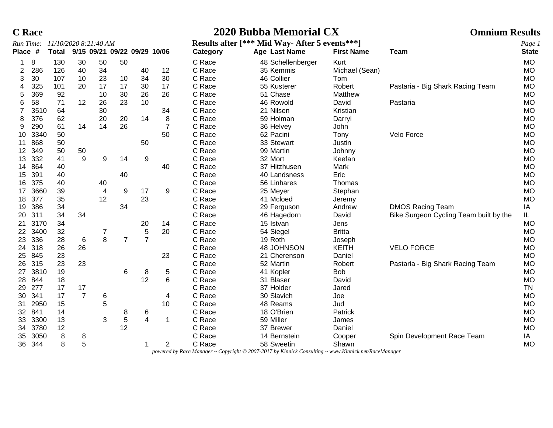|  | Race |
|--|------|
|--|------|

# **C Race 2020 Bubba Memorial CX Omnium Results**

|         | Run Time: | 11/10/2020 8:21:40 AM |                |    |                |                              |                | Results after [*** Mid Way-After 5 events *** ] |                   |                   |                                        |              | Page 1 |
|---------|-----------|-----------------------|----------------|----|----------------|------------------------------|----------------|-------------------------------------------------|-------------------|-------------------|----------------------------------------|--------------|--------|
| Place # |           | <b>Total</b>          |                |    |                | 9/15 09/21 09/22 09/29 10/06 |                | Category                                        | Age Last Name     | <b>First Name</b> | <b>Team</b>                            | <b>State</b> |        |
|         | 8         | 130                   | 30             | 50 | 50             |                              |                | C Race                                          | 48 Schellenberger | Kurt              |                                        | <b>MO</b>    |        |
| 2       | 286       | 126                   | 40             | 34 |                | 40                           | 12             | C Race                                          | 35 Kemmis         | Michael (Sean)    |                                        | <b>MO</b>    |        |
| 3       | 30        | 107                   | 10             | 23 | 10             | 34                           | 30             | C Race                                          | 46 Collier        | Tom               |                                        | <b>MO</b>    |        |
| 4       | 325       | 101                   | 20             | 17 | 17             | 30                           | 17             | C Race                                          | 55 Kusterer       | Robert            | Pastaria - Big Shark Racing Team       | <b>MO</b>    |        |
| 5       | 369       | 92                    |                | 10 | 30             | 26                           | 26             | C Race                                          | 51 Chase          | Matthew           |                                        | <b>MO</b>    |        |
| 6       | 58        | 71                    | 12             | 26 | 23             | 10                           |                | C Race                                          | 46 Rowold         | David             | Pastaria                               | <b>MO</b>    |        |
| 7       | 3510      | 64                    |                | 30 |                |                              | 34             | C Race                                          | 21 Nilsen         | Kristian          |                                        | <b>MO</b>    |        |
| 8       | 376       | 62                    |                | 20 | 20             | 14                           | 8              | C Race                                          | 59 Holman         | Darryl            |                                        | <b>MO</b>    |        |
| 9       | 290       | 61                    | 14             | 14 | 26             |                              | $\overline{7}$ | C Race                                          | 36 Helvey         | John              |                                        | <b>MO</b>    |        |
| 10      | 3340      | 50                    |                |    |                |                              | 50             | C Race                                          | 62 Pacini         | Tony              | Velo Force                             | <b>MO</b>    |        |
| 11      | 868       | 50                    |                |    |                | 50                           |                | C Race                                          | 33 Stewart        | Justin            |                                        | <b>MO</b>    |        |
| 12      | 349       | 50                    | 50             |    |                |                              |                | C Race                                          | 99 Martin         | Johnny            |                                        | <b>MO</b>    |        |
| 13      | 332       | 41                    | 9              | 9  | 14             | 9                            |                | C Race                                          | 32 Mort           | Keefan            |                                        | <b>MO</b>    |        |
| 14      | 864       | 40                    |                |    |                |                              | 40             | C Race                                          | 37 Hitzhusen      | Mark              |                                        | <b>MO</b>    |        |
| 15      | 391       | 40                    |                |    | 40             |                              |                | C Race                                          | 40 Landsness      | Eric              |                                        | <b>MO</b>    |        |
| 16      | 375       | 40                    |                | 40 |                |                              |                | C Race                                          | 56 Linhares       | Thomas            |                                        | <b>MO</b>    |        |
| 17      | 3660      | 39                    |                | 4  | 9              | 17                           | 9              | C Race                                          | 25 Meyer          | Stephan           |                                        | <b>MO</b>    |        |
| 18      | 377       | 35                    |                | 12 |                | 23                           |                | C Race                                          | 41 Mcloed         | Jeremy            |                                        | <b>MO</b>    |        |
| 19      | 386       | 34                    |                |    | 34             |                              |                | C Race                                          | 29 Ferguson       | Andrew            | <b>DMOS Racing Team</b>                | IA           |        |
| 20      | 311       | 34                    | 34             |    |                |                              |                | C Race                                          | 46 Hagedorn       | David             | Bike Surgeon Cycling Team built by the | IL.          |        |
| 21      | 3170      | 34                    |                |    |                | 20                           | 14             | C Race                                          | 15 Istvan         | Jens              |                                        | <b>MO</b>    |        |
| 22      | 3400      | 32                    |                | 7  |                | 5                            | 20             | C Race                                          | 54 Siegel         | <b>Britta</b>     |                                        | <b>MO</b>    |        |
| 23      | 336       | 28                    | $\,6$          | 8  | $\overline{7}$ | $\overline{7}$               |                | C Race                                          | 19 Roth           | Joseph            |                                        | <b>MO</b>    |        |
| 24      | 318       | 26                    | 26             |    |                |                              |                | C Race                                          | 48 JOHNSON        | <b>KEITH</b>      | <b>VELO FORCE</b>                      | <b>MO</b>    |        |
| 25      | 845       | 23                    |                |    |                |                              | 23             | C Race                                          | 21 Cherenson      | Daniel            |                                        | <b>MO</b>    |        |
| 26      | 315       | 23                    | 23             |    |                |                              |                | C Race                                          | 52 Martin         | Robert            | Pastaria - Big Shark Racing Team       | <b>MO</b>    |        |
| 27      | 3810      | 19                    |                |    | 6              | 8                            | 5              | C Race                                          | 41 Kopler         | Bob               |                                        | <b>MO</b>    |        |
| 28      | 844       | 18                    |                |    |                | 12                           | 6              | C Race                                          | 31 Blaser         | David             |                                        | <b>MO</b>    |        |
| 29      | 277       | 17                    | 17             |    |                |                              |                | C Race                                          | 37 Holder         | Jared             |                                        | <b>TN</b>    |        |
| 30      | 341       | 17                    | $\overline{7}$ | 6  |                |                              | 4              | C Race                                          | 30 Slavich        | Joe               |                                        | <b>MO</b>    |        |
| 31      | 2950      | 15                    |                | 5  |                |                              | 10             | C Race                                          | 48 Reams          | Jud               |                                        | <b>MO</b>    |        |
| 32      | 841       | 14                    |                |    | 8              | 6                            |                | C Race                                          | 18 O'Brien        | Patrick           |                                        | <b>MO</b>    |        |
| 33      | 3300      | 13                    |                | 3  | 5              | $\overline{4}$               | -1             | C Race                                          | 59 Miller         | James             |                                        | <b>MO</b>    |        |
| 34      | 3780      | 12                    |                |    | 12             |                              |                | C Race                                          | 37 Brewer         | Daniel            |                                        | <b>MO</b>    |        |
| 35      | 3050      | 8                     | 8              |    |                |                              |                | C Race                                          | 14 Bernstein      | Cooper            | Spin Development Race Team             | IA           |        |
| 36      | 344       | 8                     | 5              |    |                | 1                            | $\overline{2}$ | C Race                                          | 58 Sweetin        | Shawn             |                                        | <b>MO</b>    |        |

*powered by Race Manager ~ Copyright © 2007-2017 by Kinnick Consulting ~ www.Kinnick.net/RaceManager*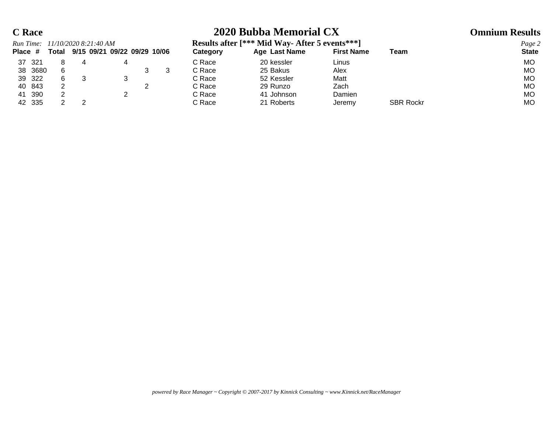## **C Race 2020 Bubba Memorial CX Omnium Results**

|         |        |       | Run Time: 11/10/2020 8:21:40 AM |  | Results after [*** Mid Way-After 5 events *** ] |               | Page 2            |      |              |
|---------|--------|-------|---------------------------------|--|-------------------------------------------------|---------------|-------------------|------|--------------|
| Place # |        | Total | 9/15 09/21 09/22 09/29 10/06    |  | Category                                        | Age Last Name | <b>First Name</b> | Team | <b>State</b> |
| 37      | -321   |       |                                 |  | C Race                                          | 20 kessler    | Linus             |      | MО           |
| 38      | 3680   |       |                                 |  | C Race                                          | 25 Bakus      | Alex              |      | МO           |
|         | 39 322 |       |                                 |  | C Race                                          | 52 Kessler    | Matt              |      | МO           |
|         | 40 843 |       |                                 |  | C Race                                          | 29 Runzo      | Zach              |      | МO           |
| 41      | 390    |       |                                 |  | C Race                                          | 41 Johnson    | Damien            |      | МO           |

42 335 2 2 C Race 21 Roberts Jeremy SBR Rockr MO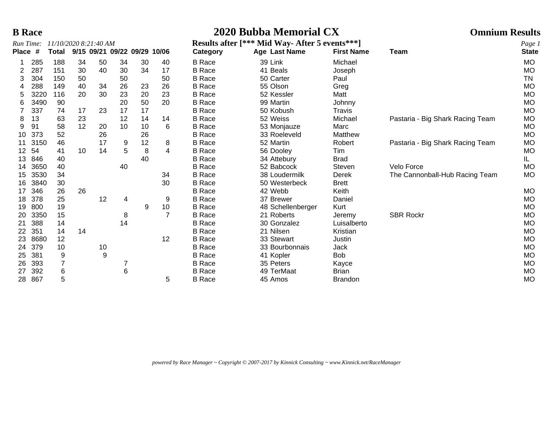## **B Race 2020 Bubba Memorial CX Omnium Results**

| Run Time:    |      | 11/10/2020 8:21:40 AM |    |    |                              |    |    |               | Results after [*** Mid Way-After 5 events***] |                   |                                  |                        |  |  |
|--------------|------|-----------------------|----|----|------------------------------|----|----|---------------|-----------------------------------------------|-------------------|----------------------------------|------------------------|--|--|
| <b>Place</b> | #    | <b>Total</b>          |    |    | 9/15 09/21 09/22 09/29 10/06 |    |    | Category      | Age Last Name                                 | <b>First Name</b> | Team                             | Page 1<br><b>State</b> |  |  |
|              | 285  | 188                   | 34 | 50 | 34                           | 30 | 40 | <b>B</b> Race | 39 Link                                       | Michael           |                                  | <b>MO</b>              |  |  |
| 2            | 287  | 151                   | 30 | 40 | 30                           | 34 | 17 | <b>B</b> Race | 41 Beals                                      | Joseph            |                                  | <b>MO</b>              |  |  |
| 3            | 304  | 150                   | 50 |    | 50                           |    | 50 | <b>B</b> Race | 50 Carter                                     | Paul              |                                  | TN                     |  |  |
|              | 288  | 149                   | 40 | 34 | 26                           | 23 | 26 | <b>B</b> Race | 55 Olson                                      | Greg              |                                  | <b>MO</b>              |  |  |
|              | 3220 | 116                   | 20 | 30 | 23                           | 20 | 23 | <b>B</b> Race | 52 Kessler                                    | Matt              |                                  | <b>MO</b>              |  |  |
| 6            | 3490 | 90                    |    |    | 20                           | 50 | 20 | <b>B</b> Race | 99 Martin                                     | Johnny            |                                  | <b>MO</b>              |  |  |
|              | 337  | 74                    | 17 | 23 | 17                           | 17 |    | <b>B</b> Race | 50 Kobush                                     | Travis            |                                  | MO                     |  |  |
| 8            | 13   | 63                    | 23 |    | 12                           | 14 | 14 | <b>B</b> Race | 52 Weiss                                      | Michael           | Pastaria - Big Shark Racing Team | <b>MO</b>              |  |  |
| 9            | 91   | 58                    | 12 | 20 | 10                           | 10 | 6  | <b>B</b> Race | 53 Monjauze                                   | Marc              |                                  | MO                     |  |  |
| 10           | 373  | 52                    |    | 26 |                              | 26 |    | <b>B</b> Race | 33 Roeleveld                                  | Matthew           |                                  | <b>MO</b>              |  |  |
| 11           | 3150 | 46                    |    | 17 | 9                            | 12 | 8  | <b>B</b> Race | 52 Martin                                     | Robert            | Pastaria - Big Shark Racing Team | MO                     |  |  |
| 12           | 54   | 41                    | 10 | 14 | 5                            | 8  | 4  | <b>B</b> Race | 56 Dooley                                     | Tim               |                                  | MO                     |  |  |
| 13           | 846  | 40                    |    |    |                              | 40 |    | <b>B</b> Race | 34 Attebury                                   | <b>Brad</b>       |                                  | IL.                    |  |  |
| 14           | 3650 | 40                    |    |    | 40                           |    |    | <b>B</b> Race | 52 Babcock                                    | Steven            | Velo Force                       | <b>MO</b>              |  |  |
| 15           | 3530 | 34                    |    |    |                              |    | 34 | <b>B</b> Race | 38 Loudermilk                                 | Derek             | The Cannonball-Hub Racing Team   | <b>MO</b>              |  |  |
| 16           | 3840 | 30                    |    |    |                              |    | 30 | <b>B</b> Race | 50 Westerbeck                                 | <b>Brett</b>      |                                  |                        |  |  |
| 17           | 346  | 26                    | 26 |    |                              |    |    | <b>B</b> Race | 42 Webb                                       | Keith             |                                  | MO                     |  |  |
| 18           | 378  | 25                    |    | 12 | 4                            |    | 9  | <b>B</b> Race | 37 Brewer                                     | Daniel            |                                  | MO                     |  |  |
| 19           | 800  | 19                    |    |    |                              | 9  | 10 | <b>B</b> Race | 48 Schellenberger                             | Kurt              |                                  | <b>MO</b>              |  |  |
| 20           | 3350 | 15                    |    |    | 8                            |    | 7  | <b>B</b> Race | 21 Roberts                                    | Jeremy            | <b>SBR Rockr</b>                 | MO                     |  |  |
| 21           | 388  | 14                    |    |    | 14                           |    |    | <b>B</b> Race | 30 Gonzalez                                   | Luisalberto       |                                  | MO                     |  |  |
| 22           | 351  | 14                    | 14 |    |                              |    |    | <b>B</b> Race | 21 Nilsen                                     | Kristian          |                                  | MO                     |  |  |
| 23           | 8680 | 12                    |    |    |                              |    | 12 | <b>B</b> Race | 33 Stewart                                    | Justin            |                                  | <b>MO</b>              |  |  |
| 24           | 379  | 10                    |    | 10 |                              |    |    | <b>B</b> Race | 33 Bourbonnais                                | Jack              |                                  | MO                     |  |  |
| 25           | 381  | 9                     |    | 9  |                              |    |    | <b>B</b> Race | 41 Kopler                                     | <b>Bob</b>        |                                  | MO                     |  |  |
| 26           | 393  |                       |    |    |                              |    |    | <b>B</b> Race | 35 Peters                                     | Kayce             |                                  | MO                     |  |  |
| 27           | 392  | 6                     |    |    | 6                            |    |    | <b>B</b> Race | 49 TerMaat                                    | <b>Brian</b>      |                                  | <b>MO</b>              |  |  |
| 28.          | 867  | 5                     |    |    |                              |    | 5  | <b>B</b> Race | 45 Amos                                       | <b>Brandon</b>    |                                  | MO                     |  |  |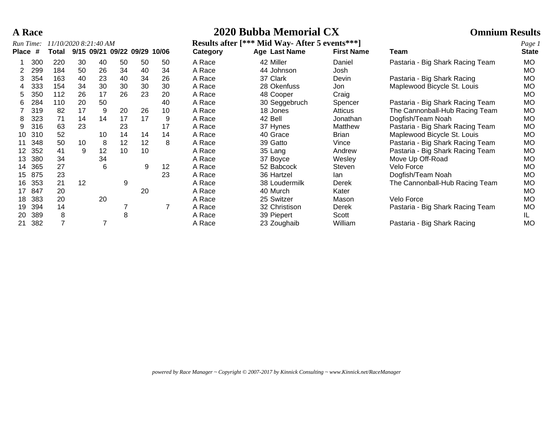| <b>A</b> Race | 2020 Bubba Memorial CX | <b>Omnium Results</b> |
|---------------|------------------------|-----------------------|
|               |                        |                       |

| Run Time: |     | 11/10/2020 8:21:40 AM |    |    |                        |    |       |          | Results after [*** Mid Way-After 5 events *** ] |                   |                                  |                        |  |  |
|-----------|-----|-----------------------|----|----|------------------------|----|-------|----------|-------------------------------------------------|-------------------|----------------------------------|------------------------|--|--|
| Place #   |     | Total                 |    |    | 9/15 09/21 09/22 09/29 |    | 10/06 | Category | Age Last Name                                   | <b>First Name</b> | Team                             | Page 1<br><b>State</b> |  |  |
|           | 300 | 220                   | 30 | 40 | 50                     | 50 | 50    | A Race   | 42 Miller                                       | Daniel            | Pastaria - Big Shark Racing Team | MO                     |  |  |
|           | 299 | 184                   | 50 | 26 | 34                     | 40 | 34    | A Race   | 44 Johnson                                      | Josh              |                                  | <b>MO</b>              |  |  |
| 3         | 354 | 163                   | 40 | 23 | 40                     | 34 | 26    | A Race   | 37 Clark                                        | Devin             | Pastaria - Big Shark Racing      | <b>MO</b>              |  |  |
|           | 333 | 154                   | 34 | 30 | 30                     | 30 | 30    | A Race   | 28 Okenfuss                                     | Jon               | Maplewood Bicycle St. Louis      | MO.                    |  |  |
| 5.        | 350 | 112                   | 26 | 17 | 26                     | 23 | 20    | A Race   | 48 Cooper                                       | Craig             |                                  | <b>MO</b>              |  |  |
| 6         | 284 | 110                   | 20 | 50 |                        |    | 40    | A Race   | 30 Seggebruch                                   | Spencer           | Pastaria - Big Shark Racing Team | <b>MO</b>              |  |  |
|           | 319 | 82                    | 17 | 9  | 20                     | 26 | 10    | A Race   | 18 Jones                                        | Atticus           | The Cannonball-Hub Racing Team   | <b>MO</b>              |  |  |
| 8         | 323 | 71                    | 14 | 14 | 17                     | 17 | 9     | A Race   | 42 Bell                                         | Jonathan          | Dogfish/Team Noah                | <b>MO</b>              |  |  |
| 9         | 316 | 63                    | 23 |    | 23                     |    | 17    | A Race   | 37 Hynes                                        | Matthew           | Pastaria - Big Shark Racing Team | <b>MO</b>              |  |  |
| 10        | 310 | 52                    |    | 10 | 14                     | 14 | 14    | A Race   | 40 Grace                                        | <b>Brian</b>      | Maplewood Bicycle St. Louis      | <b>MO</b>              |  |  |
|           | 348 | 50                    | 10 | 8  | 12                     | 12 | 8     | A Race   | 39 Gatto                                        | Vince             | Pastaria - Big Shark Racing Team | <b>MO</b>              |  |  |
| 12        | 352 | 41                    | 9  | 12 | 10                     | 10 |       | A Race   | 35 Lang                                         | Andrew            | Pastaria - Big Shark Racing Team | <b>MO</b>              |  |  |
| 13        | 380 | 34                    |    | 34 |                        |    |       | A Race   | 37 Boyce                                        | Wesley            | Move Up Off-Road                 | <b>MO</b>              |  |  |
| 14        | 365 | 27                    |    | 6  |                        | 9  | 12    | A Race   | 52 Babcock                                      | Steven            | Velo Force                       | <b>MO</b>              |  |  |
| 15        | 875 | 23                    |    |    |                        |    | 23    | A Race   | 36 Hartzel                                      | lan               | Dogfish/Team Noah                | <b>MO</b>              |  |  |
| 16        | 353 | 21                    | 12 |    | 9                      |    |       | A Race   | 38 Loudermilk                                   | Derek             | The Cannonball-Hub Racing Team   | <b>MO</b>              |  |  |
| 17        | 847 | 20                    |    |    |                        | 20 |       | A Race   | 40 Murch                                        | Kater             |                                  | <b>MO</b>              |  |  |
| 18        | 383 | 20                    |    | 20 |                        |    |       | A Race   | 25 Switzer                                      | Mason             | Velo Force                       | <b>MO</b>              |  |  |
| 19        | 394 | 14                    |    |    |                        |    |       | A Race   | 32 Christison                                   | Derek             | Pastaria - Big Shark Racing Team | MO                     |  |  |
| 20        | 389 | 8                     |    |    | 8                      |    |       | A Race   | 39 Piepert                                      | Scott             |                                  | IL.                    |  |  |
| 21        | 382 |                       |    |    |                        |    |       | A Race   | 23 Zoughaib                                     | William           | Pastaria - Big Shark Racing      | <b>MO</b>              |  |  |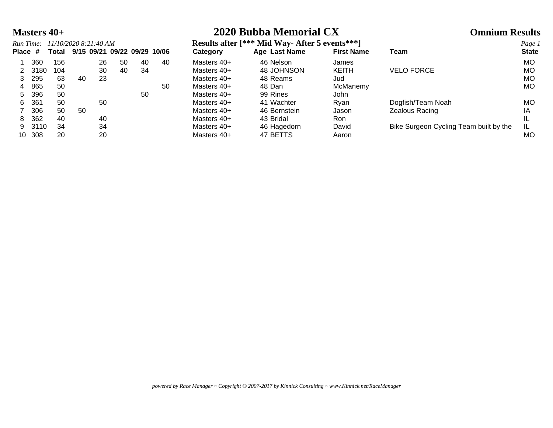| <b>Masters 40+</b> | 2020 Bubba Memorial CX | <b>Omnium Results</b> |
|--------------------|------------------------|-----------------------|
|--------------------|------------------------|-----------------------|

|         |      | Run Time: 11/10/2020 8:21:40 AM |    |    |    |                                    |    |
|---------|------|---------------------------------|----|----|----|------------------------------------|----|
| Place # |      |                                 |    |    |    | Total 9/15 09/21 09/22 09/29 10/06 |    |
| 1       | 360  | 156                             |    | 26 | 50 | 40                                 | 40 |
| 2       | 3180 | 104                             |    | 30 | 40 | 34                                 |    |
| 3       | 295  | 63                              | 40 | 23 |    |                                    |    |
| 4       | 865  | 50                              |    |    |    |                                    | 50 |
| 5       | 396  | 50                              |    |    |    | 50                                 |    |
| 6       | 361  | 50                              |    | 50 |    |                                    |    |
| 7       | 306  | 50                              | 50 |    |    |                                    |    |
| 8       | 362  | 40                              |    | 40 |    |                                    |    |
| 9       | 3110 | 34                              |    | 34 |    |                                    |    |
|         |      |                                 |    |    |    |                                    |    |

*Run Time: 11/10/2020 8:21:40 AM* **Results after [\*\*\* Mid Way- After 5 events\*\*\*]** *Page 1*

| Run Time:<br>11/10/2020 8:21:40 AM |         |              |    |    |    |    | <b>Results after</b> Figure<br>NIIG Way- After 5 events *** |               |                   |                                        |              |
|------------------------------------|---------|--------------|----|----|----|----|-------------------------------------------------------------|---------------|-------------------|----------------------------------------|--------------|
|                                    | Total   |              |    |    |    |    | Category                                                    | Age Last Name | <b>First Name</b> | Team                                   | <b>State</b> |
| 360                                | 156     |              | 26 | 50 | 40 | 40 | Masters 40+                                                 | 46 Nelson     | James             |                                        | MO.          |
|                                    | 104     |              | 30 | 40 | 34 |    | Masters 40+                                                 | 48 JOHNSON    | <b>KEITH</b>      | <b>VELO FORCE</b>                      | MO.          |
| 295                                | 63      | 40           | 23 |    |    |    | Masters 40+                                                 | 48 Reams      | Jud               |                                        | MO           |
| 865                                | 50      |              |    |    |    | 50 | Masters 40+                                                 | 48 Dan        | McManemy          |                                        | MO.          |
| 396                                | 50      |              |    |    | 50 |    | Masters 40+                                                 | 99 Rines      | John              |                                        |              |
| 361                                | 50      |              | 50 |    |    |    | Masters 40+                                                 | 41 Wachter    | Ryan              | Dogfish/Team Noah                      | MO           |
| 306                                | 50      | 50           |    |    |    |    | Masters 40+                                                 | 46 Bernstein  | Jason             | Zealous Racing                         | ΙA           |
| 362                                | 40      |              | 40 |    |    |    | Masters 40+                                                 | 43 Bridal     | Ron               |                                        | IL           |
|                                    | 34      |              | 34 |    |    |    | Masters 40+                                                 | 46 Hagedorn   | David             | Bike Surgeon Cycling Team built by the | -lL          |
| 308                                | 20      |              | 20 |    |    |    | Masters 40+                                                 | 47 BETTS      | Aaron             |                                        | MO           |
|                                    | Place # | 3180<br>3110 |    |    |    |    | 9/15 09/21 09/22 09/29 10/06                                |               |                   |                                        |              |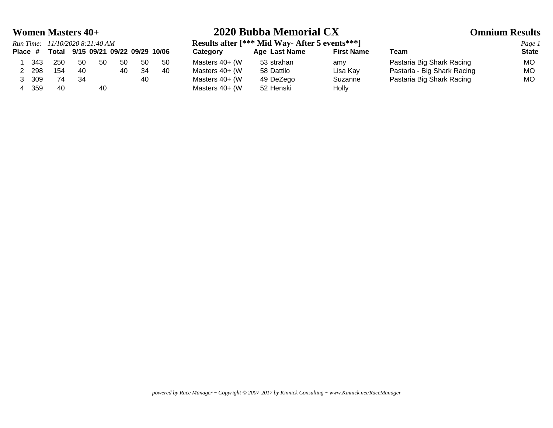| Run Time: 11/10/2020 8:21:40 AM |                                    |     |     |    |     |     |                 | Results after [*** Mid Way-After 5 events *** ] |                   |                             |             |  |  |
|---------------------------------|------------------------------------|-----|-----|----|-----|-----|-----------------|-------------------------------------------------|-------------------|-----------------------------|-------------|--|--|
| Place #                         | Total 9/15 09/21 09/22 09/29 10/06 |     |     |    |     |     | <b>Category</b> | <b>Age Last Name</b>                            | <b>First Name</b> | Team                        | <b>Stat</b> |  |  |
| 343                             | 250                                | 50  | -50 | 50 | -50 | -50 | Masters 40+ (W  | 53 strahan                                      | amy               | Pastaria Big Shark Racing   | МO          |  |  |
| 298                             | 154                                | 40  |     | 40 | 34  | 40  | Masters 40+ (W  | 58 Dattilo                                      | Lisa Kay          | Pastaria - Big Shark Racing | МO          |  |  |
| 309                             | 74                                 | -34 |     |    | 40  |     | Masters 40+ (W  | 49 DeZego                                       | Suzanne           | Pastaria Big Shark Racing   | МO          |  |  |
| 359                             | 40                                 |     | 40  |    |     |     | Masters 40+ (W  | 52 Henski                                       | Holly             |                             |             |  |  |

## **Women Masters 40+ 2020 Bubba Memorial CX Omnium Results**

*Results after* [\*\*\* Mid Way- After 5 events\*\*\*]<br>Category **Age Last Name** First Name **Place # Total 9/15 09/21 09/22 09/29 10/06 Category Age Last Name First Name Team State**

|                             | Page         |
|-----------------------------|--------------|
| Team                        | <b>State</b> |
| Pastaria Big Shark Racing   | MO           |
| Pastaria - Big Shark Racing | MO           |
| Pastaria Big Shark Racing   | MO           |
|                             |              |